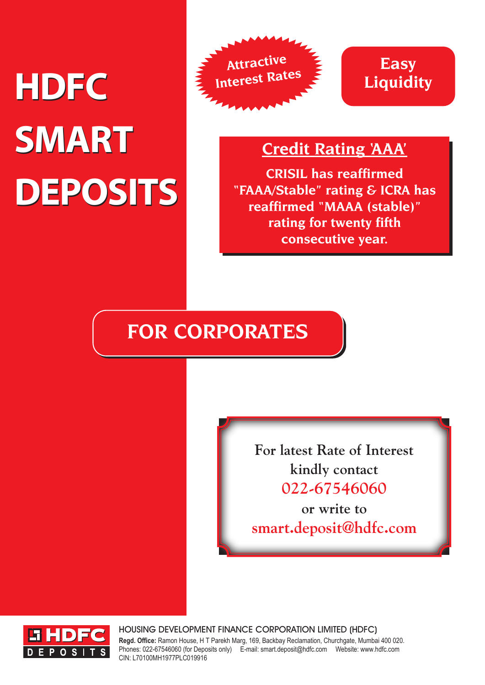# **HDFC HDFC SMART SMART DEPOSITS DEPOSITS**





### **Credit Rating 'AAA'**

**CRISIL has reaffirmed "FAAA/Stable" rating & ICRA has reaffirmed "MAAA (stable)" rating for twenty fifth consecutive year.**

## **FOR CORPORATES**

**For latest Rate of Interest kindly contact 022-67546060**

**or write to smart.deposit@hdfc.com**



HOUSING DEVELOPMENT FINANCE CORPORATION LIMITED (HDFC) **Regd. Office:** Ramon House, H T Parekh Marg, 169, Backbay Reclamation, Churchgate, Mumbai 400 020. Phones: 022-67546060 (for Deposits only) E-mail: smart.deposit@hdfc.com Website: www.hdfc.com CIN: L70100MH1977PLC019916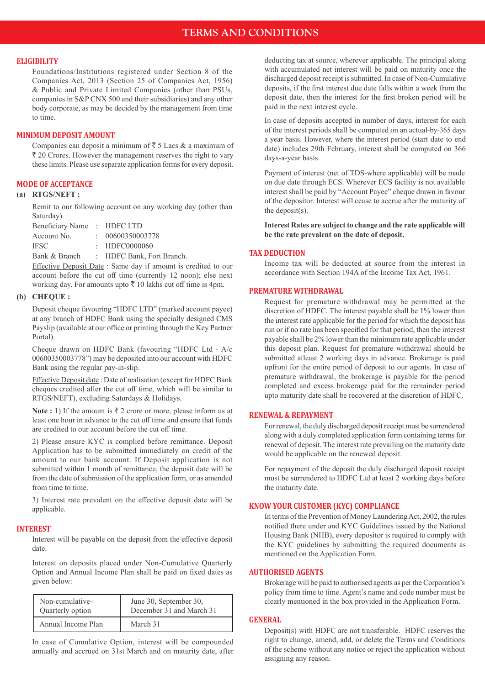#### **ELIGIBILITY**

Foundations/Institutions registered under Section 8 of the Companies Act, 2013 (Section 25 of Companies Act, 1956) & Public and Private Limited Companies (other than PSUs, companies in S&P CNX 500 and their subsidiaries) and any other body corporate, as may be decided by the management from time to time.

#### **MINIMUM DEPOSIT AMOUNT**

Companies can deposit a minimum of  $\bar{z}$  5 Lacs & a maximum of  $\bar{\tau}$  20 Crores. However the management reserves the right to vary these limits. Please use separate application forms for every deposit.

#### **MODE OF ACCEPTANCE**

#### **(a) RTGS/NEFT :**

Remit to our following account on any working day (other than Saturday).

| Beneficiary Name: HDFC LTD |                           |
|----------------------------|---------------------------|
| Account No.                | : 00600350003778          |
| <b>IFSC</b>                | $\div$ HDFC0000060        |
| Bank & Branch              | : HDFC Bank, Fort Branch. |
|                            |                           |

 Effective Deposit Date : Same day if amount is credited to our account before the cut off time (currently 12 noon); else next working day. For amounts upto  $\bar{\tau}$  10 lakhs cut off time is 4pm.

#### **(b) CHEQUE :**

 Deposit cheque favouring "HDFC LTD" (marked account payee) at any branch of HDFC Bank using the specially designed CMS Payslip (available at our office or printing through the Key Partner Portal).

 Cheque drawn on HDFC Bank (favouring "HDFC Ltd - A/c 00600350003778") may be deposited into our account with HDFC Bank using the regular pay-in-slip.

 Effective Deposit date : Date of realisation (except for HDFC Bank cheques credited after the cut off time, which will be similar to RTGS/NEFT), excluding Saturdays & Holidays.

**Note :** 1) If the amount is  $\bar{\tau}$  2 crore or more, please inform us at least one hour in advance to the cut off time and ensure that funds are credited to our account before the cut off time.

 2) Please ensure KYC is complied before remittance. Deposit Application has to be submitted immediately on credit of the amount to our bank account. If Deposit application is not submitted within 1 month of remittance, the deposit date will be from the date of submission of the application form, or as amended from time to time.

 3) Interest rate prevalent on the effective deposit date will be applicable.

#### **INTEREST**

 Interest will be payable on the deposit from the effective deposit date.

 Interest on deposits placed under Non-Cumulative Quarterly Option and Annual Income Plan shall be paid on fixed dates as given below:

| Non-cumulative-    | June 30, September 30,   |  |  |
|--------------------|--------------------------|--|--|
| Quarterly option   | December 31 and March 31 |  |  |
| Annual Income Plan | March 31                 |  |  |

In case of Cumulative Option, interest will be compounded annually and accrued on 31st March and on maturity date, after deducting tax at source, wherever applicable. The principal along with accumulated net interest will be paid on maturity once the discharged deposit receipt is submitted. In case of Non-Cumulative deposits, if the first interest due date falls within a week from the deposit date, then the interest for the first broken period will be paid in the next interest cycle.

In case of deposits accepted in number of days, interest for each of the interest periods shall be computed on an actual-by-365 days a year basis. However, where the interest period (start date to end date) includes 29th February, interest shall be computed on 366 days-a-year basis.

 Payment of interest (net of TDS-where applicable) will be made on due date through ECS. Wherever ECS facility is not available interest shall be paid by "Account Payee" cheque drawn in favour of the depositor. Interest will cease to accrue after the maturity of the deposit(s).

**Interest Rates are subject to change and the rate applicable will be the rate prevalent on the date of deposit.**

#### **TAX DEDUCTION**

Income tax will be deducted at source from the interest in accordance with Section 194A of the Income Tax Act, 1961.

#### **PREMATURE WITHDRAWAL**

 Request for premature withdrawal may be permitted at the discretion of HDFC. The interest payable shall be 1% lower than the interest rate applicable for the period for which the deposit has run or if no rate has been specified for that period, then the interest payable shall be 2% lower than the minimum rate applicable under this deposit plan. Request for premature withdrawal should be submitted atleast 2 working days in advance. Brokerage is paid upfront for the entire period of deposit to our agents. In case of premature withdrawal, the brokerage is payable for the period completed and excess brokerage paid for the remainder period upto maturity date shall be recovered at the discretion of HDFC.

#### **RENEWAL & REPAYMENT**

For renewal, the duly discharged deposit receipt must be surrendered along with a duly completed application form containing terms for renewal of deposit. The interest rate prevailing on the maturity date would be applicable on the renewed deposit.

For repayment of the deposit the duly discharged deposit receipt must be surrendered to HDFC Ltd at least 2 working days before the maturity date.

#### **KNOW YOUR CUSTOMER (KYC) COMPLIANCE**

In terms of the Prevention of Money Laundering Act, 2002, the rules notified there under and KYC Guidelines issued by the National Housing Bank (NHB), every depositor is required to comply with the KYC guidelines by submitting the required documents as mentioned on the Application Form.

#### **AUTHORISED AGENTS**

Brokerage will be paid to authorised agents as per the Corporation's policy from time to time. Agent's name and code number must be clearly mentioned in the box provided in the Application Form.

#### **GENERAL**

 Deposit(s) with HDFC are not transferable. HDFC reserves the right to change, amend, add, or delete the Terms and Conditions of the scheme without any notice or reject the application without assigning any reason.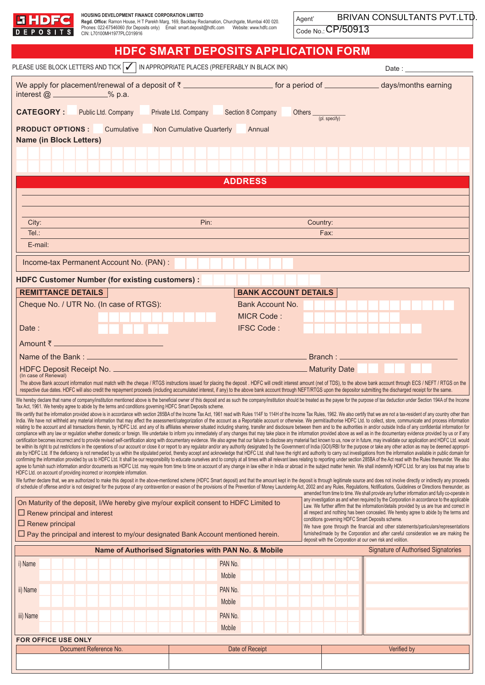| <b>EHDFC</b><br><b>DEPOSITS</b>                                                                                                                                                                                                                                                                                                                                                                                                                                                                                                                                                                                                                                                                                                                                                                                                                                                                                                                                                                                                                                                                                                                                                                                                                                                                                                                                                                                                                                                                                                                                                                                                                                                                                                                                                                                                                                                                                                                                                                                                                                                                                                                                                                                                                                                                                                                                                                                                                                                                                                                                                                                                                                                                                                                                                                                                                                                                                                                                                                                                                                                                                                                                                                                                                                                                                                                                                                                                                                                                                                                                                                                                                                                                                                                                                                                                                                                                                                                                                                                                                                                                                                                                                                                                                                                                                                                        | HOUSING DEVELOPMENT FINANCE CORPORATION LIMITED<br>Regd. Office: Ramon House, H T Parekh Marg, 169, Backbay Reclamation, Churchgate, Mumbai 400 020.<br>Phones: 022-67546060 (for Deposits only) Email: smart.deposit@hdfc.com Website: www.hdfc.com<br>CIN: L70100MH1977PLC019916 |      |                                              | Agent'<br>Code No.: CP/50913                                                                                                             | BRIVAN CONSULTANTS PVT.LTD |  |  |  |  |  |
|--------------------------------------------------------------------------------------------------------------------------------------------------------------------------------------------------------------------------------------------------------------------------------------------------------------------------------------------------------------------------------------------------------------------------------------------------------------------------------------------------------------------------------------------------------------------------------------------------------------------------------------------------------------------------------------------------------------------------------------------------------------------------------------------------------------------------------------------------------------------------------------------------------------------------------------------------------------------------------------------------------------------------------------------------------------------------------------------------------------------------------------------------------------------------------------------------------------------------------------------------------------------------------------------------------------------------------------------------------------------------------------------------------------------------------------------------------------------------------------------------------------------------------------------------------------------------------------------------------------------------------------------------------------------------------------------------------------------------------------------------------------------------------------------------------------------------------------------------------------------------------------------------------------------------------------------------------------------------------------------------------------------------------------------------------------------------------------------------------------------------------------------------------------------------------------------------------------------------------------------------------------------------------------------------------------------------------------------------------------------------------------------------------------------------------------------------------------------------------------------------------------------------------------------------------------------------------------------------------------------------------------------------------------------------------------------------------------------------------------------------------------------------------------------------------------------------------------------------------------------------------------------------------------------------------------------------------------------------------------------------------------------------------------------------------------------------------------------------------------------------------------------------------------------------------------------------------------------------------------------------------------------------------------------------------------------------------------------------------------------------------------------------------------------------------------------------------------------------------------------------------------------------------------------------------------------------------------------------------------------------------------------------------------------------------------------------------------------------------------------------------------------------------------------------------------------------------------------------------------------------------------------------------------------------------------------------------------------------------------------------------------------------------------------------------------------------------------------------------------------------------------------------------------------------------------------------------------------------------------------------------------------------------------------------------------------------------------------------------|------------------------------------------------------------------------------------------------------------------------------------------------------------------------------------------------------------------------------------------------------------------------------------|------|----------------------------------------------|------------------------------------------------------------------------------------------------------------------------------------------|----------------------------|--|--|--|--|--|
|                                                                                                                                                                                                                                                                                                                                                                                                                                                                                                                                                                                                                                                                                                                                                                                                                                                                                                                                                                                                                                                                                                                                                                                                                                                                                                                                                                                                                                                                                                                                                                                                                                                                                                                                                                                                                                                                                                                                                                                                                                                                                                                                                                                                                                                                                                                                                                                                                                                                                                                                                                                                                                                                                                                                                                                                                                                                                                                                                                                                                                                                                                                                                                                                                                                                                                                                                                                                                                                                                                                                                                                                                                                                                                                                                                                                                                                                                                                                                                                                                                                                                                                                                                                                                                                                                                                                                        |                                                                                                                                                                                                                                                                                    |      |                                              | <b>HDFC SMART DEPOSITS APPLICATION FORM</b>                                                                                              |                            |  |  |  |  |  |
|                                                                                                                                                                                                                                                                                                                                                                                                                                                                                                                                                                                                                                                                                                                                                                                                                                                                                                                                                                                                                                                                                                                                                                                                                                                                                                                                                                                                                                                                                                                                                                                                                                                                                                                                                                                                                                                                                                                                                                                                                                                                                                                                                                                                                                                                                                                                                                                                                                                                                                                                                                                                                                                                                                                                                                                                                                                                                                                                                                                                                                                                                                                                                                                                                                                                                                                                                                                                                                                                                                                                                                                                                                                                                                                                                                                                                                                                                                                                                                                                                                                                                                                                                                                                                                                                                                                                                        | PLEASE USE BLOCK LETTERS AND TICK   √   IN APPROPRIATE PLACES (PREFERABLY IN BLACK INK)                                                                                                                                                                                            |      |                                              |                                                                                                                                          | Date : ______________      |  |  |  |  |  |
| interest $@$ ____________% p.a.                                                                                                                                                                                                                                                                                                                                                                                                                                                                                                                                                                                                                                                                                                                                                                                                                                                                                                                                                                                                                                                                                                                                                                                                                                                                                                                                                                                                                                                                                                                                                                                                                                                                                                                                                                                                                                                                                                                                                                                                                                                                                                                                                                                                                                                                                                                                                                                                                                                                                                                                                                                                                                                                                                                                                                                                                                                                                                                                                                                                                                                                                                                                                                                                                                                                                                                                                                                                                                                                                                                                                                                                                                                                                                                                                                                                                                                                                                                                                                                                                                                                                                                                                                                                                                                                                                                        |                                                                                                                                                                                                                                                                                    |      |                                              | We apply for placement/renewal of a deposit of ₹ ________________________________ for a period of __________________ days/months earning |                            |  |  |  |  |  |
| <b>CATEGORY:</b>                                                                                                                                                                                                                                                                                                                                                                                                                                                                                                                                                                                                                                                                                                                                                                                                                                                                                                                                                                                                                                                                                                                                                                                                                                                                                                                                                                                                                                                                                                                                                                                                                                                                                                                                                                                                                                                                                                                                                                                                                                                                                                                                                                                                                                                                                                                                                                                                                                                                                                                                                                                                                                                                                                                                                                                                                                                                                                                                                                                                                                                                                                                                                                                                                                                                                                                                                                                                                                                                                                                                                                                                                                                                                                                                                                                                                                                                                                                                                                                                                                                                                                                                                                                                                                                                                                                                       | Public Ltd. Company<br>Section 8 Company<br>Private Ltd. Company<br>Others <sub>(pl. specify)</sub>                                                                                                                                                                                |      |                                              |                                                                                                                                          |                            |  |  |  |  |  |
| <b>PRODUCT OPTIONS:</b><br>Cumulative<br>Non Cumulative Quarterly<br>Annual                                                                                                                                                                                                                                                                                                                                                                                                                                                                                                                                                                                                                                                                                                                                                                                                                                                                                                                                                                                                                                                                                                                                                                                                                                                                                                                                                                                                                                                                                                                                                                                                                                                                                                                                                                                                                                                                                                                                                                                                                                                                                                                                                                                                                                                                                                                                                                                                                                                                                                                                                                                                                                                                                                                                                                                                                                                                                                                                                                                                                                                                                                                                                                                                                                                                                                                                                                                                                                                                                                                                                                                                                                                                                                                                                                                                                                                                                                                                                                                                                                                                                                                                                                                                                                                                            |                                                                                                                                                                                                                                                                                    |      |                                              |                                                                                                                                          |                            |  |  |  |  |  |
| <b>Name (in Block Letters)</b>                                                                                                                                                                                                                                                                                                                                                                                                                                                                                                                                                                                                                                                                                                                                                                                                                                                                                                                                                                                                                                                                                                                                                                                                                                                                                                                                                                                                                                                                                                                                                                                                                                                                                                                                                                                                                                                                                                                                                                                                                                                                                                                                                                                                                                                                                                                                                                                                                                                                                                                                                                                                                                                                                                                                                                                                                                                                                                                                                                                                                                                                                                                                                                                                                                                                                                                                                                                                                                                                                                                                                                                                                                                                                                                                                                                                                                                                                                                                                                                                                                                                                                                                                                                                                                                                                                                         |                                                                                                                                                                                                                                                                                    |      |                                              |                                                                                                                                          |                            |  |  |  |  |  |
|                                                                                                                                                                                                                                                                                                                                                                                                                                                                                                                                                                                                                                                                                                                                                                                                                                                                                                                                                                                                                                                                                                                                                                                                                                                                                                                                                                                                                                                                                                                                                                                                                                                                                                                                                                                                                                                                                                                                                                                                                                                                                                                                                                                                                                                                                                                                                                                                                                                                                                                                                                                                                                                                                                                                                                                                                                                                                                                                                                                                                                                                                                                                                                                                                                                                                                                                                                                                                                                                                                                                                                                                                                                                                                                                                                                                                                                                                                                                                                                                                                                                                                                                                                                                                                                                                                                                                        |                                                                                                                                                                                                                                                                                    |      |                                              |                                                                                                                                          |                            |  |  |  |  |  |
|                                                                                                                                                                                                                                                                                                                                                                                                                                                                                                                                                                                                                                                                                                                                                                                                                                                                                                                                                                                                                                                                                                                                                                                                                                                                                                                                                                                                                                                                                                                                                                                                                                                                                                                                                                                                                                                                                                                                                                                                                                                                                                                                                                                                                                                                                                                                                                                                                                                                                                                                                                                                                                                                                                                                                                                                                                                                                                                                                                                                                                                                                                                                                                                                                                                                                                                                                                                                                                                                                                                                                                                                                                                                                                                                                                                                                                                                                                                                                                                                                                                                                                                                                                                                                                                                                                                                                        |                                                                                                                                                                                                                                                                                    |      | <b>ADDRESS</b>                               |                                                                                                                                          |                            |  |  |  |  |  |
|                                                                                                                                                                                                                                                                                                                                                                                                                                                                                                                                                                                                                                                                                                                                                                                                                                                                                                                                                                                                                                                                                                                                                                                                                                                                                                                                                                                                                                                                                                                                                                                                                                                                                                                                                                                                                                                                                                                                                                                                                                                                                                                                                                                                                                                                                                                                                                                                                                                                                                                                                                                                                                                                                                                                                                                                                                                                                                                                                                                                                                                                                                                                                                                                                                                                                                                                                                                                                                                                                                                                                                                                                                                                                                                                                                                                                                                                                                                                                                                                                                                                                                                                                                                                                                                                                                                                                        |                                                                                                                                                                                                                                                                                    |      |                                              |                                                                                                                                          |                            |  |  |  |  |  |
|                                                                                                                                                                                                                                                                                                                                                                                                                                                                                                                                                                                                                                                                                                                                                                                                                                                                                                                                                                                                                                                                                                                                                                                                                                                                                                                                                                                                                                                                                                                                                                                                                                                                                                                                                                                                                                                                                                                                                                                                                                                                                                                                                                                                                                                                                                                                                                                                                                                                                                                                                                                                                                                                                                                                                                                                                                                                                                                                                                                                                                                                                                                                                                                                                                                                                                                                                                                                                                                                                                                                                                                                                                                                                                                                                                                                                                                                                                                                                                                                                                                                                                                                                                                                                                                                                                                                                        |                                                                                                                                                                                                                                                                                    |      |                                              |                                                                                                                                          |                            |  |  |  |  |  |
| City:                                                                                                                                                                                                                                                                                                                                                                                                                                                                                                                                                                                                                                                                                                                                                                                                                                                                                                                                                                                                                                                                                                                                                                                                                                                                                                                                                                                                                                                                                                                                                                                                                                                                                                                                                                                                                                                                                                                                                                                                                                                                                                                                                                                                                                                                                                                                                                                                                                                                                                                                                                                                                                                                                                                                                                                                                                                                                                                                                                                                                                                                                                                                                                                                                                                                                                                                                                                                                                                                                                                                                                                                                                                                                                                                                                                                                                                                                                                                                                                                                                                                                                                                                                                                                                                                                                                                                  |                                                                                                                                                                                                                                                                                    | Pin: |                                              | Country:                                                                                                                                 |                            |  |  |  |  |  |
| Tel:                                                                                                                                                                                                                                                                                                                                                                                                                                                                                                                                                                                                                                                                                                                                                                                                                                                                                                                                                                                                                                                                                                                                                                                                                                                                                                                                                                                                                                                                                                                                                                                                                                                                                                                                                                                                                                                                                                                                                                                                                                                                                                                                                                                                                                                                                                                                                                                                                                                                                                                                                                                                                                                                                                                                                                                                                                                                                                                                                                                                                                                                                                                                                                                                                                                                                                                                                                                                                                                                                                                                                                                                                                                                                                                                                                                                                                                                                                                                                                                                                                                                                                                                                                                                                                                                                                                                                   |                                                                                                                                                                                                                                                                                    |      |                                              | Fax:                                                                                                                                     |                            |  |  |  |  |  |
| E-mail:                                                                                                                                                                                                                                                                                                                                                                                                                                                                                                                                                                                                                                                                                                                                                                                                                                                                                                                                                                                                                                                                                                                                                                                                                                                                                                                                                                                                                                                                                                                                                                                                                                                                                                                                                                                                                                                                                                                                                                                                                                                                                                                                                                                                                                                                                                                                                                                                                                                                                                                                                                                                                                                                                                                                                                                                                                                                                                                                                                                                                                                                                                                                                                                                                                                                                                                                                                                                                                                                                                                                                                                                                                                                                                                                                                                                                                                                                                                                                                                                                                                                                                                                                                                                                                                                                                                                                |                                                                                                                                                                                                                                                                                    |      |                                              |                                                                                                                                          |                            |  |  |  |  |  |
|                                                                                                                                                                                                                                                                                                                                                                                                                                                                                                                                                                                                                                                                                                                                                                                                                                                                                                                                                                                                                                                                                                                                                                                                                                                                                                                                                                                                                                                                                                                                                                                                                                                                                                                                                                                                                                                                                                                                                                                                                                                                                                                                                                                                                                                                                                                                                                                                                                                                                                                                                                                                                                                                                                                                                                                                                                                                                                                                                                                                                                                                                                                                                                                                                                                                                                                                                                                                                                                                                                                                                                                                                                                                                                                                                                                                                                                                                                                                                                                                                                                                                                                                                                                                                                                                                                                                                        | Income-tax Permanent Account No. (PAN):                                                                                                                                                                                                                                            |      |                                              |                                                                                                                                          |                            |  |  |  |  |  |
|                                                                                                                                                                                                                                                                                                                                                                                                                                                                                                                                                                                                                                                                                                                                                                                                                                                                                                                                                                                                                                                                                                                                                                                                                                                                                                                                                                                                                                                                                                                                                                                                                                                                                                                                                                                                                                                                                                                                                                                                                                                                                                                                                                                                                                                                                                                                                                                                                                                                                                                                                                                                                                                                                                                                                                                                                                                                                                                                                                                                                                                                                                                                                                                                                                                                                                                                                                                                                                                                                                                                                                                                                                                                                                                                                                                                                                                                                                                                                                                                                                                                                                                                                                                                                                                                                                                                                        | <b>HDFC Customer Number (for existing customers):</b>                                                                                                                                                                                                                              |      |                                              |                                                                                                                                          |                            |  |  |  |  |  |
| <b>REMITTANCE DETAILS</b>                                                                                                                                                                                                                                                                                                                                                                                                                                                                                                                                                                                                                                                                                                                                                                                                                                                                                                                                                                                                                                                                                                                                                                                                                                                                                                                                                                                                                                                                                                                                                                                                                                                                                                                                                                                                                                                                                                                                                                                                                                                                                                                                                                                                                                                                                                                                                                                                                                                                                                                                                                                                                                                                                                                                                                                                                                                                                                                                                                                                                                                                                                                                                                                                                                                                                                                                                                                                                                                                                                                                                                                                                                                                                                                                                                                                                                                                                                                                                                                                                                                                                                                                                                                                                                                                                                                              |                                                                                                                                                                                                                                                                                    |      | <b>BANK ACCOUNT DETAILS</b>                  |                                                                                                                                          |                            |  |  |  |  |  |
|                                                                                                                                                                                                                                                                                                                                                                                                                                                                                                                                                                                                                                                                                                                                                                                                                                                                                                                                                                                                                                                                                                                                                                                                                                                                                                                                                                                                                                                                                                                                                                                                                                                                                                                                                                                                                                                                                                                                                                                                                                                                                                                                                                                                                                                                                                                                                                                                                                                                                                                                                                                                                                                                                                                                                                                                                                                                                                                                                                                                                                                                                                                                                                                                                                                                                                                                                                                                                                                                                                                                                                                                                                                                                                                                                                                                                                                                                                                                                                                                                                                                                                                                                                                                                                                                                                                                                        | Cheque No. / UTR No. (In case of RTGS):                                                                                                                                                                                                                                            |      | <b>Bank Account No.</b><br><b>MICR Code:</b> |                                                                                                                                          |                            |  |  |  |  |  |
| Date:                                                                                                                                                                                                                                                                                                                                                                                                                                                                                                                                                                                                                                                                                                                                                                                                                                                                                                                                                                                                                                                                                                                                                                                                                                                                                                                                                                                                                                                                                                                                                                                                                                                                                                                                                                                                                                                                                                                                                                                                                                                                                                                                                                                                                                                                                                                                                                                                                                                                                                                                                                                                                                                                                                                                                                                                                                                                                                                                                                                                                                                                                                                                                                                                                                                                                                                                                                                                                                                                                                                                                                                                                                                                                                                                                                                                                                                                                                                                                                                                                                                                                                                                                                                                                                                                                                                                                  |                                                                                                                                                                                                                                                                                    |      | <b>IFSC Code:</b>                            |                                                                                                                                          |                            |  |  |  |  |  |
|                                                                                                                                                                                                                                                                                                                                                                                                                                                                                                                                                                                                                                                                                                                                                                                                                                                                                                                                                                                                                                                                                                                                                                                                                                                                                                                                                                                                                                                                                                                                                                                                                                                                                                                                                                                                                                                                                                                                                                                                                                                                                                                                                                                                                                                                                                                                                                                                                                                                                                                                                                                                                                                                                                                                                                                                                                                                                                                                                                                                                                                                                                                                                                                                                                                                                                                                                                                                                                                                                                                                                                                                                                                                                                                                                                                                                                                                                                                                                                                                                                                                                                                                                                                                                                                                                                                                                        |                                                                                                                                                                                                                                                                                    |      |                                              |                                                                                                                                          |                            |  |  |  |  |  |
|                                                                                                                                                                                                                                                                                                                                                                                                                                                                                                                                                                                                                                                                                                                                                                                                                                                                                                                                                                                                                                                                                                                                                                                                                                                                                                                                                                                                                                                                                                                                                                                                                                                                                                                                                                                                                                                                                                                                                                                                                                                                                                                                                                                                                                                                                                                                                                                                                                                                                                                                                                                                                                                                                                                                                                                                                                                                                                                                                                                                                                                                                                                                                                                                                                                                                                                                                                                                                                                                                                                                                                                                                                                                                                                                                                                                                                                                                                                                                                                                                                                                                                                                                                                                                                                                                                                                                        |                                                                                                                                                                                                                                                                                    |      |                                              |                                                                                                                                          |                            |  |  |  |  |  |
| (In case of Renewal)                                                                                                                                                                                                                                                                                                                                                                                                                                                                                                                                                                                                                                                                                                                                                                                                                                                                                                                                                                                                                                                                                                                                                                                                                                                                                                                                                                                                                                                                                                                                                                                                                                                                                                                                                                                                                                                                                                                                                                                                                                                                                                                                                                                                                                                                                                                                                                                                                                                                                                                                                                                                                                                                                                                                                                                                                                                                                                                                                                                                                                                                                                                                                                                                                                                                                                                                                                                                                                                                                                                                                                                                                                                                                                                                                                                                                                                                                                                                                                                                                                                                                                                                                                                                                                                                                                                                   | HDFC Deposit Receipt No. _______________                                                                                                                                                                                                                                           |      |                                              | Maturity Date                                                                                                                            |                            |  |  |  |  |  |
| The above Bank account information must match with the cheque / RTGS instructions issued for placing the deposit . HDFC will credit interest amount (net of TDS), to the above bank account through ECS / NEFT / RTGS on the<br>respective due dates. HDFC will also credit the repayment proceeds (including accumulated interest, if any) to the above bank account through NEFT/RTGS upon the depositor submitting the discharged receipt for the same.<br>We hereby declare that name of company/institution mentioned above is the beneficial owner of this deposit and as such the company/institution should be treated as the payee for the purpose of tax deduction under Section 1<br>Tax Act, 1961. We hereby agree to abide by the terms and conditions governing HDFC Smart Deposits scheme.<br>We certify that the information provided above is in accordance with section 285BA of the Income Tax Act, 1961 read with Rules 114F to 114H of the Income Tax Rules, 1962. We also certify that we are not a tax-resident of a<br>India. We have not withheld any material information that may affect the assessment/categorization of the account as a Reportable account or otherwise. We permit/authorise HDFC Ltd. to collect, store, communicate and proce<br>relating to the account and all transactions therein, by HDFC Ltd. and any of its affiliates wherever situated including sharing, transfer and disclosure between them and to the authorities in and/or outside India of any c<br>compliance with any law or regulation whether domestic or foreign. We undertake to inform you immediately of any changes that may take place in the information provided above as well as in the documentary evidence provided<br>certification becomes incorrect and to provide revised self-certification along with documentary evidence. We also agree that our failure to disclose any material fact known to us, now or in future, may invalidate our appl<br>be within its right to put restrictions in the operations of our account or close it or report to any regulator and/or any authority designated by the Government of India (GOI)/RBI for the purpose or take any other action<br>ate by HDFC Ltd. If the deficiency is not remedied by us within the stipulated period, thereby accept and acknowledge that HDFC Ltd. shall have the right and authority to carry out investigations from the information avail<br>confirming the information provided by us to HDFC Ltd. It shall be our responsibility to educate ourselves and to comply at all times with all relevant laws relating to reporting under section 285BA of the Act read with th<br>agree to furnish such information and/or documents as HDFC Ltd. may require from time to time on account of any change in law either in India or abroad in the subject matter herein. We shall indemnify HDFC Ltd. for any los<br>HDFC Ltd. on account of providing incorrect or incomplete information.<br>We further declare that, we are authorized to make this deposit in the above-mentioned scheme (HDFC Smart deposit) and that the amount kept in the deposit is through legitimate source and does not involve directly or indir<br>of schedule of offense and/or is not designed for the purpose of any contravention or evasion of the provisions of the Prevention of Money Laundering Act, 2002 and any Rules, Regulations, Notifications, Guidelines or Direc<br>amended from time to time. We shall provide any further information and fully co-operate in<br>any investigation as and when required by the Corporation in accordance to the applicable<br>On Maturity of the deposit, I/We hereby give my/our explicit consent to HDFC Limited to<br>Law. We further affirm that the information/details provided by us are true and correct in<br>all respect and nothing has been concealed. We hereby agree to abide by the terms and<br>$\Box$ Renew principal and interest<br>conditions governing HDFC Smart Deposits scheme.<br>$\Box$ Renew principal<br>We have gone through the financial and other statements/particulars/representations<br>furnished/made by the Corporation and after careful consideration we are making the<br>$\Box$ Pay the principal and interest to my/our designated Bank Account mentioned herein. |                                                                                                                                                                                                                                                                                    |      |                                              |                                                                                                                                          |                            |  |  |  |  |  |
|                                                                                                                                                                                                                                                                                                                                                                                                                                                                                                                                                                                                                                                                                                                                                                                                                                                                                                                                                                                                                                                                                                                                                                                                                                                                                                                                                                                                                                                                                                                                                                                                                                                                                                                                                                                                                                                                                                                                                                                                                                                                                                                                                                                                                                                                                                                                                                                                                                                                                                                                                                                                                                                                                                                                                                                                                                                                                                                                                                                                                                                                                                                                                                                                                                                                                                                                                                                                                                                                                                                                                                                                                                                                                                                                                                                                                                                                                                                                                                                                                                                                                                                                                                                                                                                                                                                                                        |                                                                                                                                                                                                                                                                                    |      |                                              | deposit with the Corporation at our own risk and volition.                                                                               |                            |  |  |  |  |  |
| <b>Signature of Authorised Signatories</b><br>Name of Authorised Signatories with PAN No. & Mobile<br>PAN No.                                                                                                                                                                                                                                                                                                                                                                                                                                                                                                                                                                                                                                                                                                                                                                                                                                                                                                                                                                                                                                                                                                                                                                                                                                                                                                                                                                                                                                                                                                                                                                                                                                                                                                                                                                                                                                                                                                                                                                                                                                                                                                                                                                                                                                                                                                                                                                                                                                                                                                                                                                                                                                                                                                                                                                                                                                                                                                                                                                                                                                                                                                                                                                                                                                                                                                                                                                                                                                                                                                                                                                                                                                                                                                                                                                                                                                                                                                                                                                                                                                                                                                                                                                                                                                          |                                                                                                                                                                                                                                                                                    |      |                                              |                                                                                                                                          |                            |  |  |  |  |  |
| i) Name                                                                                                                                                                                                                                                                                                                                                                                                                                                                                                                                                                                                                                                                                                                                                                                                                                                                                                                                                                                                                                                                                                                                                                                                                                                                                                                                                                                                                                                                                                                                                                                                                                                                                                                                                                                                                                                                                                                                                                                                                                                                                                                                                                                                                                                                                                                                                                                                                                                                                                                                                                                                                                                                                                                                                                                                                                                                                                                                                                                                                                                                                                                                                                                                                                                                                                                                                                                                                                                                                                                                                                                                                                                                                                                                                                                                                                                                                                                                                                                                                                                                                                                                                                                                                                                                                                                                                |                                                                                                                                                                                                                                                                                    |      | Mobile                                       |                                                                                                                                          |                            |  |  |  |  |  |
| ii) Name                                                                                                                                                                                                                                                                                                                                                                                                                                                                                                                                                                                                                                                                                                                                                                                                                                                                                                                                                                                                                                                                                                                                                                                                                                                                                                                                                                                                                                                                                                                                                                                                                                                                                                                                                                                                                                                                                                                                                                                                                                                                                                                                                                                                                                                                                                                                                                                                                                                                                                                                                                                                                                                                                                                                                                                                                                                                                                                                                                                                                                                                                                                                                                                                                                                                                                                                                                                                                                                                                                                                                                                                                                                                                                                                                                                                                                                                                                                                                                                                                                                                                                                                                                                                                                                                                                                                               |                                                                                                                                                                                                                                                                                    |      | PAN No.                                      |                                                                                                                                          |                            |  |  |  |  |  |
|                                                                                                                                                                                                                                                                                                                                                                                                                                                                                                                                                                                                                                                                                                                                                                                                                                                                                                                                                                                                                                                                                                                                                                                                                                                                                                                                                                                                                                                                                                                                                                                                                                                                                                                                                                                                                                                                                                                                                                                                                                                                                                                                                                                                                                                                                                                                                                                                                                                                                                                                                                                                                                                                                                                                                                                                                                                                                                                                                                                                                                                                                                                                                                                                                                                                                                                                                                                                                                                                                                                                                                                                                                                                                                                                                                                                                                                                                                                                                                                                                                                                                                                                                                                                                                                                                                                                                        |                                                                                                                                                                                                                                                                                    |      | Mobile                                       |                                                                                                                                          |                            |  |  |  |  |  |
| iii) Name                                                                                                                                                                                                                                                                                                                                                                                                                                                                                                                                                                                                                                                                                                                                                                                                                                                                                                                                                                                                                                                                                                                                                                                                                                                                                                                                                                                                                                                                                                                                                                                                                                                                                                                                                                                                                                                                                                                                                                                                                                                                                                                                                                                                                                                                                                                                                                                                                                                                                                                                                                                                                                                                                                                                                                                                                                                                                                                                                                                                                                                                                                                                                                                                                                                                                                                                                                                                                                                                                                                                                                                                                                                                                                                                                                                                                                                                                                                                                                                                                                                                                                                                                                                                                                                                                                                                              |                                                                                                                                                                                                                                                                                    |      | PAN No.                                      |                                                                                                                                          |                            |  |  |  |  |  |
|                                                                                                                                                                                                                                                                                                                                                                                                                                                                                                                                                                                                                                                                                                                                                                                                                                                                                                                                                                                                                                                                                                                                                                                                                                                                                                                                                                                                                                                                                                                                                                                                                                                                                                                                                                                                                                                                                                                                                                                                                                                                                                                                                                                                                                                                                                                                                                                                                                                                                                                                                                                                                                                                                                                                                                                                                                                                                                                                                                                                                                                                                                                                                                                                                                                                                                                                                                                                                                                                                                                                                                                                                                                                                                                                                                                                                                                                                                                                                                                                                                                                                                                                                                                                                                                                                                                                                        |                                                                                                                                                                                                                                                                                    |      | Mobile                                       |                                                                                                                                          |                            |  |  |  |  |  |
| FOR OFFICE USE ONLY<br>Document Reference No.<br>Date of Receipt<br>Verified by                                                                                                                                                                                                                                                                                                                                                                                                                                                                                                                                                                                                                                                                                                                                                                                                                                                                                                                                                                                                                                                                                                                                                                                                                                                                                                                                                                                                                                                                                                                                                                                                                                                                                                                                                                                                                                                                                                                                                                                                                                                                                                                                                                                                                                                                                                                                                                                                                                                                                                                                                                                                                                                                                                                                                                                                                                                                                                                                                                                                                                                                                                                                                                                                                                                                                                                                                                                                                                                                                                                                                                                                                                                                                                                                                                                                                                                                                                                                                                                                                                                                                                                                                                                                                                                                        |                                                                                                                                                                                                                                                                                    |      |                                              |                                                                                                                                          |                            |  |  |  |  |  |
|                                                                                                                                                                                                                                                                                                                                                                                                                                                                                                                                                                                                                                                                                                                                                                                                                                                                                                                                                                                                                                                                                                                                                                                                                                                                                                                                                                                                                                                                                                                                                                                                                                                                                                                                                                                                                                                                                                                                                                                                                                                                                                                                                                                                                                                                                                                                                                                                                                                                                                                                                                                                                                                                                                                                                                                                                                                                                                                                                                                                                                                                                                                                                                                                                                                                                                                                                                                                                                                                                                                                                                                                                                                                                                                                                                                                                                                                                                                                                                                                                                                                                                                                                                                                                                                                                                                                                        |                                                                                                                                                                                                                                                                                    |      |                                              |                                                                                                                                          |                            |  |  |  |  |  |